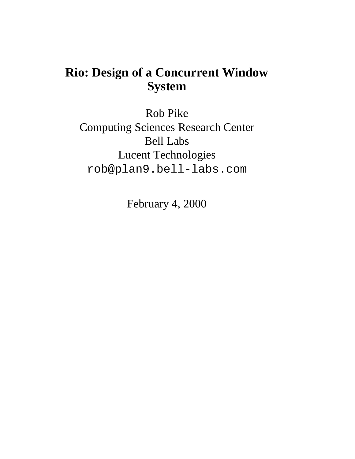# **Rio: Design of a Concurrent Window System**

Rob Pike Computing Sciences Research Center Bell Labs Lucent Technologies rob@plan9.bell-labs.com

February 4, 2000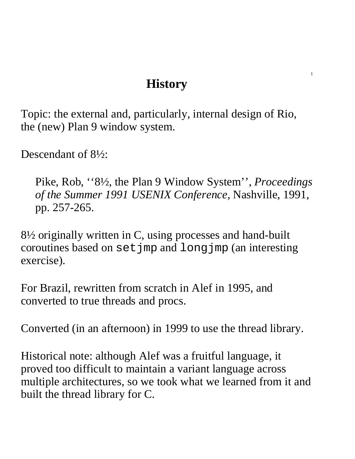# **History**

Topic: the external and, particularly, internal design of Rio, the (new) Plan 9 window system.

Descendant of 8½:

Pike, Rob, ''8½, the Plan 9 Window System'', *Proceedings of the Summer 1991 USENIX Conference,* Nashville, 1991, pp. 257-265.

8½ originally written in C, using processes and hand-built coroutines based on setjmp and longjmp (an interesting exercise).

For Brazil, rewritten from scratch in Alef in 1995, and converted to true threads and procs.

Converted (in an afternoon) in 1999 to use the thread library.

Historical note: although Alef was a fruitful language, it proved too difficult to maintain a variant language across multiple architectures, so we took what we learned from it and built the thread library for C.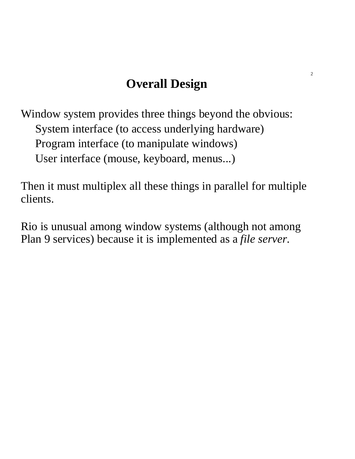# **Overall Design**

Window system provides three things beyond the obvious: System interface (to access underlying hardware) Program interface (to manipulate windows) User interface (mouse, keyboard, menus...)

Then it must multiplex all these things in parallel for multiple clients.

Rio is unusual among window systems (although not among Plan 9 services) because it is implemented as a *file server*.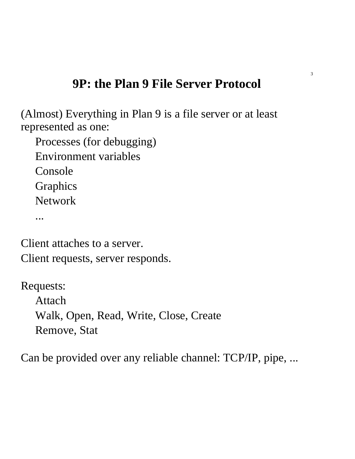# **9P: the Plan 9 File Server Protocol**

(Almost) Everything in Plan 9 is a file server or at least represented as one:

Processes (for debugging) Environment variables

Console

Graphics

Network

...

Client attaches to a server. Client requests, server responds.

Requests:

Attach Walk, Open, Read, Write, Close, Create Remove, Stat

Can be provided over any reliable channel: TCP/IP, pipe, ...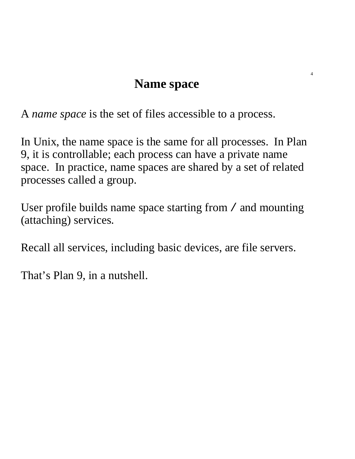### **Name space**

A *name space* is the set of files accessible to a process.

In Unix, the name space is the same for all processes. In Plan 9, it is controllable; each process can have a private name space. In practice, name spaces are shared by a set of related processes called a group.

User profile builds name space starting from / and mounting (attaching) services.

Recall all services, including basic devices, are file servers.

That's Plan 9, in a nutshell.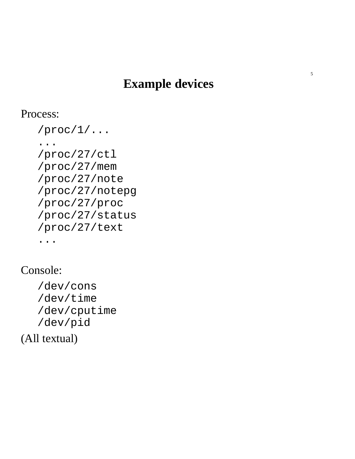# **Example devices**

Process:

```
/proc/1/...
...
/proc/27/ctl
/proc/27/mem
/proc/27/note
/proc/27/notepg
/proc/27/proc
/proc/27/status
/proc/27/text
...
```
Console:

/dev/cons /dev/time /dev/cputime /dev/pid

(All textual)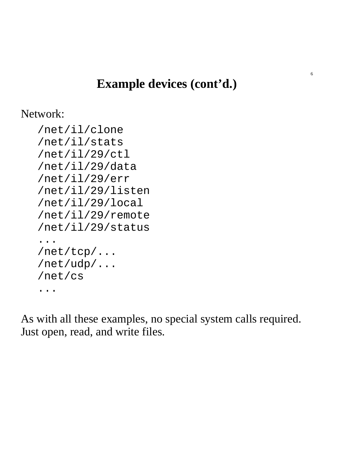# **Example devices (cont'd.)**

Network:

```
/net/il/clone
/net/il/stats
/net/il/29/ctl
/net/il/29/data
/net/il/29/err
/net/il/29/listen
/net/il/29/local
/net/il/29/remote
/net/il/29/status
...
/net/tcp/...
/net/udp/...
/net/cs
...
```
As with all these examples, no special system calls required. Just open, read, and write files.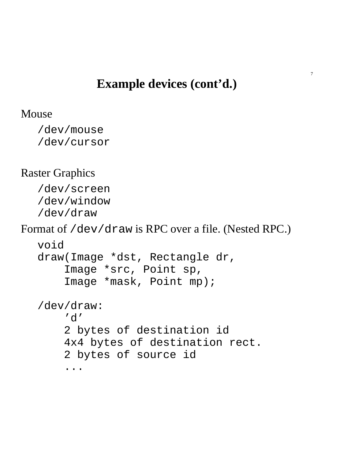#### **Example devices (cont'd.)**

```
Mouse
```

```
/dev/mouse
/dev/cursor
```
#### Raster Graphics

/dev/screen /dev/window /dev/draw

Format of /dev/draw is RPC over a file. (Nested RPC.)

```
void
draw(Image *dst, Rectangle dr,
    Image *src, Point sp,
    Image *mask, Point mp);
/dev/draw:
    'd'
    2 bytes of destination id
    4x4 bytes of destination rect.
```
2 bytes of source id

...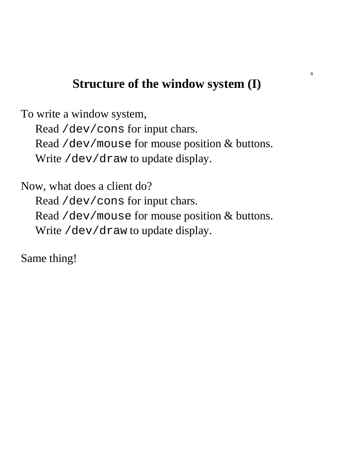# **Structure of the window system (I)**

To write a window system, Read /dev/cons for input chars. Read /dev/mouse for mouse position & buttons. Write /dev/draw to update display.

Now, what does a client do? Read /dev/cons for input chars. Read /dev/mouse for mouse position & buttons. Write /dev/draw to update display.

Same thing!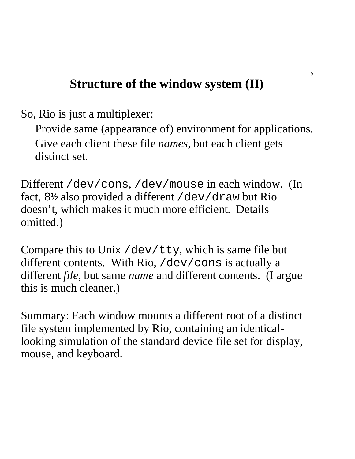# **Structure of the window system (II)**

So, Rio is just a multiplexer:

Provide same (appearance of) environment for applications. Give each client these file *names*, but each client gets distinct set.

Different /dev/cons, /dev/mouse in each window. (In fact, 8½ also provided a different /dev/draw but Rio doesn't, which makes it much more efficient. Details omitted.)

Compare this to Unix /dev/tty, which is same file but different contents. With Rio, /dev/cons is actually a different *file*, but same *name* and different contents. (I argue this is much cleaner.)

Summary: Each window mounts a different root of a distinct file system implemented by Rio, containing an identicallooking simulation of the standard device file set for display, mouse, and keyboard.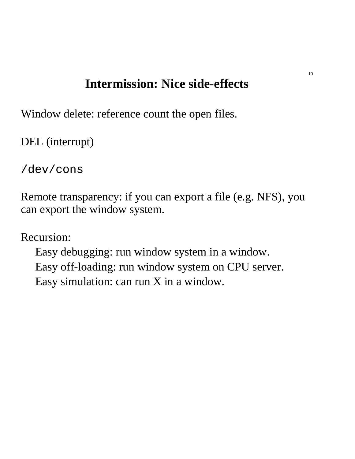# **Intermission: Nice side-effects**

Window delete: reference count the open files.

DEL (interrupt)

/dev/cons

Remote transparency: if you can export a file (e.g. NFS), you can export the window system.

Recursion:

Easy debugging: run window system in a window. Easy off-loading: run window system on CPU server. Easy simulation: can run X in a window.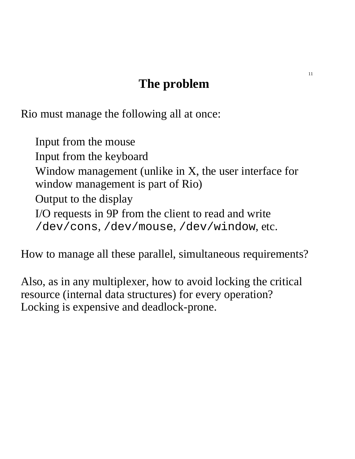# **The problem**

Rio must manage the following all at once:

Input from the mouse Input from the keyboard Window management (unlike in X, the user interface for window management is part of Rio) Output to the display I/O requests in 9P from the client to read and write /dev/cons, /dev/mouse, /dev/window, etc.

How to manage all these parallel, simultaneous requirements?

Also, as in any multiplexer, how to avoid locking the critical resource (internal data structures) for every operation? Locking is expensive and deadlock-prone.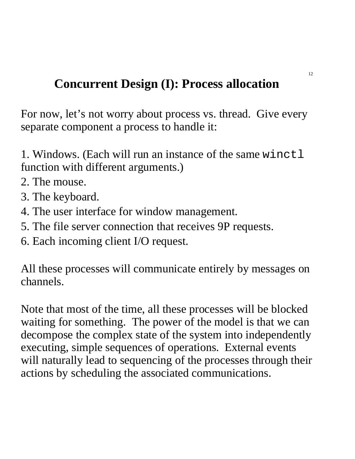# **Concurrent Design (I): Process allocation**

For now, let's not worry about process vs. thread. Give every separate component a process to handle it:

1. Windows. (Each will run an instance of the same winctl function with different arguments.)

- 2. The mouse.
- 3. The keyboard.
- 4. The user interface for window management.
- 5. The file server connection that receives 9P requests.
- 6. Each incoming client I/O request.

All these processes will communicate entirely by messages on channels.

Note that most of the time, all these processes will be blocked waiting for something. The power of the model is that we can decompose the complex state of the system into independently executing, simple sequences of operations. External events will naturally lead to sequencing of the processes through their actions by scheduling the associated communications.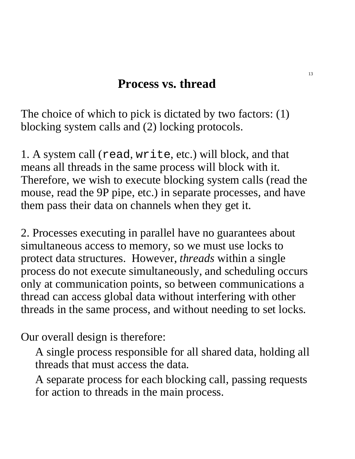### **Process vs. thread**

The choice of which to pick is dictated by two factors: (1) blocking system calls and (2) locking protocols.

1. A system call (read, write, etc.) will block, and that means all threads in the same process will block with it. Therefore, we wish to execute blocking system calls (read the mouse, read the 9P pipe, etc.) in separate processes, and have them pass their data on channels when they get it.

2. Processes executing in parallel have no guarantees about simultaneous access to memory, so we must use locks to protect data structures. However, *threads* within a single process do not execute simultaneously, and scheduling occurs only at communication points, so between communications a thread can access global data without interfering with other threads in the same process, and without needing to set locks.

Our overall design is therefore:

A single process responsible for all shared data, holding all threads that must access the data.

A separate process for each blocking call, passing requests for action to threads in the main process.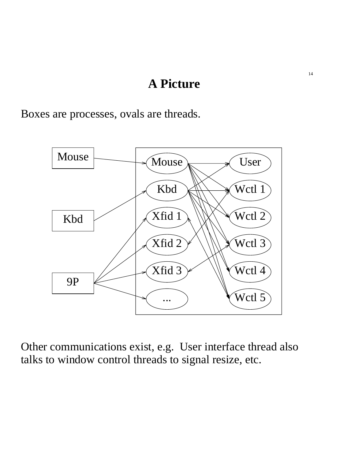#### **A Picture**

Boxes are processes, ovals are threads.



Other communications exist, e.g. User interface thread also talks to window control threads to signal resize, etc.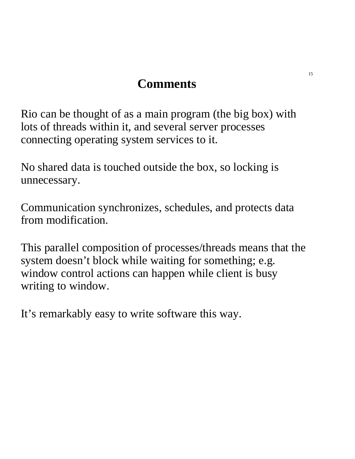# **Comments**

Rio can be thought of as a main program (the big box) with lots of threads within it, and several server processes connecting operating system services to it.

No shared data is touched outside the box, so locking is unnecessary.

Communication synchronizes, schedules, and protects data from modification.

This parallel composition of processes/threads means that the system doesn't block while waiting for something; e.g. window control actions can happen while client is busy writing to window.

It's remarkably easy to write software this way.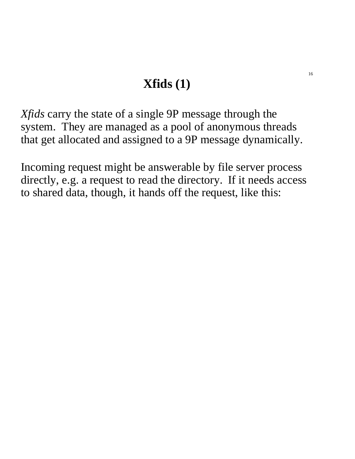# **Xfids (1)**

*Xfids* carry the state of a single 9P message through the system. They are managed as a pool of anonymous threads that get allocated and assigned to a 9P message dynamically.

Incoming request might be answerable by file server process directly, e.g. a request to read the directory. If it needs access to shared data, though, it hands off the request, like this: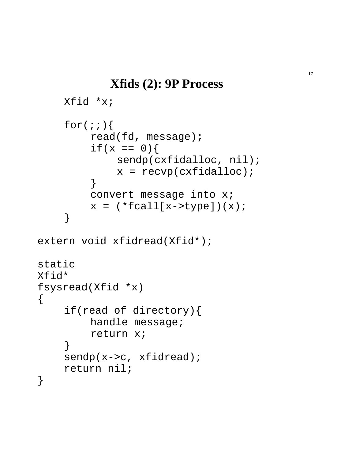```
Xfid *x;
    for(;;){
         read(fd, message);
         if(x == 0)sendp(cxfidalloc, nil);
             x = \text{recvp}(\text{exfidalloc});
         }
         convert message into x;
         x = (*fcall[x->type])(x);}
extern void xfidread(Xfid*);
static
Xfid*
fsysread(Xfid *x)
    if(read of directory){
         handle message;
         return x;
     }
    sendp(x->c, xfidread);
    return nil;
```
 $\{$ 

}